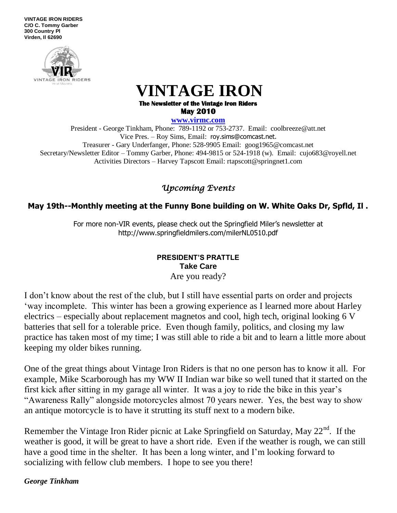**VINTAGE IRON RIDERS C/O C. Tommy Garber 300 Country Pl Virden, Il 62690**



 **VINTAGE IRON**

**The Newsletter of the Vintage Iron Riders May 2010** 

**www.virmc.com** 

President - George Tinkham, Phone: 789-1192 or 753-2737. Email: coolbreeze@att.net Vice Pres. – Roy Sims, Email: [roy.sims@comcast.net.](mailto:roy.sims@comcast.net) Treasurer - Gary Underfanger, Phone: 528-9905 Email: goog1965@comcast.net Secretary/Newsletter Editor – Tommy Garber, Phone: 494-9815 or 524-1918 (w). Email: cujo683@royell.net Activities Directors – Harvey Tapscott Email: rtapscott@springnet1.com

## *Upcoming Events*

## **May 19th--Monthly meeting at the Funny Bone building on W. White Oaks Dr, Spfld, Il .**

For more non-VIR events, please check out the Springfield Miler's newsletter at http://www.springfieldmilers.com/milerNL0510.pdf

### **PRESIDENT'S PRATTLE Take Care** Are you ready?

I don't know about the rest of the club, but I still have essential parts on order and projects 'way incomplete. This winter has been a growing experience as I learned more about Harley electrics – especially about replacement magnetos and cool, high tech, original looking 6 V batteries that sell for a tolerable price. Even though family, politics, and closing my law practice has taken most of my time; I was still able to ride a bit and to learn a little more about keeping my older bikes running.

One of the great things about Vintage Iron Riders is that no one person has to know it all. For example, Mike Scarborough has my WW II Indian war bike so well tuned that it started on the first kick after sitting in my garage all winter. It was a joy to ride the bike in this year's "Awareness Rally" alongside motorcycles almost 70 years newer. Yes, the best way to show an antique motorcycle is to have it strutting its stuff next to a modern bike.

Remember the Vintage Iron Rider picnic at Lake Springfield on Saturday, May  $22<sup>nd</sup>$ . If the weather is good, it will be great to have a short ride. Even if the weather is rough, we can still have a good time in the shelter. It has been a long winter, and I'm looking forward to socializing with fellow club members. I hope to see you there!

*George Tinkham*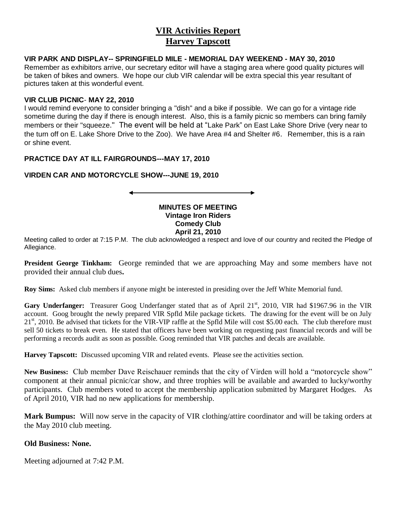## **VIR Activities Report Harvey Tapscott**

#### **VIR PARK AND DISPLAY-- SPRINGFIELD MILE - MEMORIAL DAY WEEKEND - MAY 30, 2010**

Remember as exhibitors arrive, our secretary editor will have a staging area where good quality pictures will be taken of bikes and owners. We hope our club VIR calendar will be extra special this year resultant of pictures taken at this wonderful event.

#### **VIR CLUB PICNIC**- **MAY 22, 2010**

I would remind everyone to consider bringing a "dish" and a bike if possible. We can go for a vintage ride sometime during the day if there is enough interest. Also, this is a family picnic so members can bring family members or their "squeeze." The event will be held at "Lake Park" on East Lake Shore Drive (very near to the turn off on E. Lake Shore Drive to the Zoo). We have Area #4 and Shelter #6. Remember, this is a rain or shine event.

#### **PRACTICE DAY AT ILL FAIRGROUNDS---MAY 17, 2010**

#### **VIRDEN CAR AND MOTORCYCLE SHOW---JUNE 19, 2010**

#### **MINUTES OF MEETING Vintage Iron Riders Comedy Club April 21, 2010**

Meeting called to order at 7:15 P.M. The club acknowledged a respect and love of our country and recited the Pledge of Allegiance.

**President George Tinkham:** George reminded that we are approaching May and some members have not provided their annual club dues**.**

**Roy Sims:** Asked club members if anyone might be interested in presiding over the Jeff White Memorial fund.

Gary Underfanger: Treasurer Goog Underfanger stated that as of April 21<sup>st</sup>, 2010, VIR had \$1967.96 in the VIR account. Goog brought the newly prepared VIR Spfld Mile package tickets. The drawing for the event will be on July  $21<sup>st</sup>$ , 2010. Be advised that tickets for the VIR-VIP raffle at the Spfld Mile will cost \$5.00 each. The club therefore must sell 50 tickets to break even. He stated that officers have been working on requesting past financial records and will be performing a records audit as soon as possible. Goog reminded that VIR patches and decals are available.

**Harvey Tapscott:** Discussed upcoming VIR and related events. Please see the activities section.

**New Business:** Club member Dave Reischauer reminds that the city of Virden will hold a "motorcycle show" component at their annual picnic/car show, and three trophies will be available and awarded to lucky/worthy participants. Club members voted to accept the membership application submitted by Margaret Hodges. As of April 2010, VIR had no new applications for membership.

**Mark Bumpus:** Will now serve in the capacity of VIR clothing/attire coordinator and will be taking orders at the May 2010 club meeting.

#### **Old Business: None.**

Meeting adjourned at 7:42 P.M.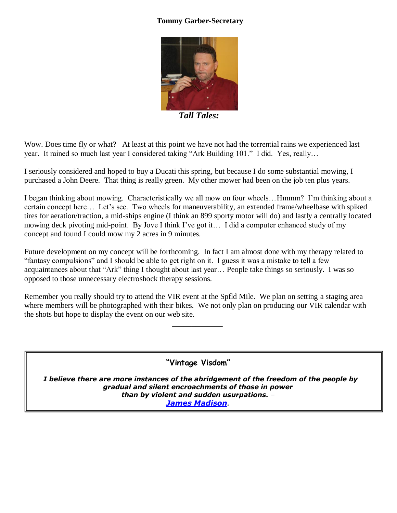# **Tommy Garber-Secretary**



 *Tall Tales:* 

Wow. Does time fly or what? At least at this point we have not had the torrential rains we experienced last year. It rained so much last year I considered taking "Ark Building 101." I did. Yes, really…

I seriously considered and hoped to buy a Ducati this spring, but because I do some substantial mowing, I purchased a John Deere. That thing is really green. My other mower had been on the job ten plus years.

I began thinking about mowing. Characteristically we all mow on four wheels…Hmmm? I'm thinking about a certain concept here… Let's see. Two wheels for maneuverability, an extended frame/wheelbase with spiked tires for aeration/traction, a mid-ships engine (I think an 899 sporty motor will do) and lastly a centrally located mowing deck pivoting mid-point. By Jove I think I've got it… I did a computer enhanced study of my concept and found I could mow my 2 acres in 9 minutes.

Future development on my concept will be forthcoming. In fact I am almost done with my therapy related to "fantasy compulsions" and I should be able to get right on it. I guess it was a mistake to tell a few acquaintances about that "Ark" thing I thought about last year… People take things so seriously. I was so opposed to those unnecessary electroshock therapy sessions.

Remember you really should try to attend the VIR event at the Spfld Mile. We plan on setting a staging area where members will be photographed with their bikes. We not only plan on producing our VIR calendar with the shots but hope to display the event on our web site.

 $\mathcal{L}_\mathcal{L}$  , which is a set of the set of the set of the set of the set of the set of the set of the set of the set of the set of the set of the set of the set of the set of the set of the set of the set of the set of

**"Vintage Visdom"**

*I believe there are more instances of the abridgement of the freedom of the people by gradual and silent encroachments of those in power than by violent and sudden usurpations. – [James Madison](http://www.rightwingnews.com/quotes/pres.php).*